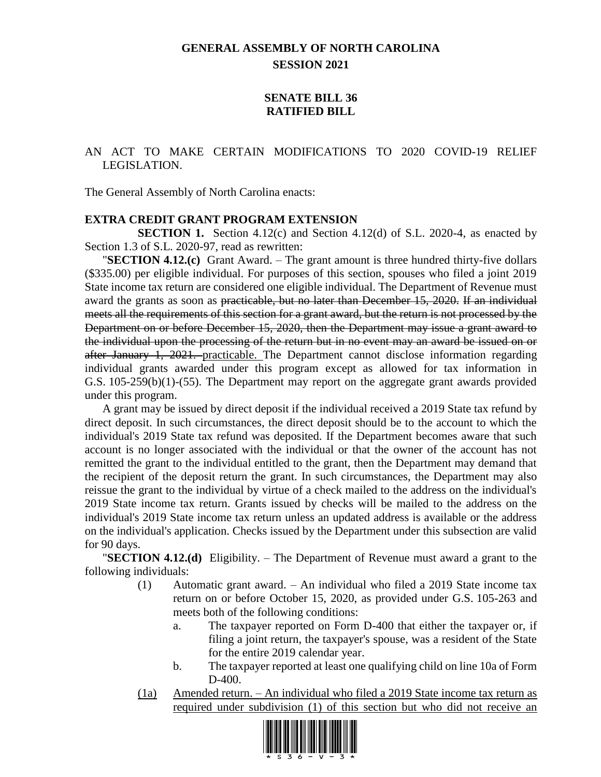# **GENERAL ASSEMBLY OF NORTH CAROLINA SESSION 2021**

#### **SENATE BILL 36 RATIFIED BILL**

#### AN ACT TO MAKE CERTAIN MODIFICATIONS TO 2020 COVID-19 RELIEF LEGISLATION.

The General Assembly of North Carolina enacts:

#### **EXTRA CREDIT GRANT PROGRAM EXTENSION**

**SECTION 1.** Section 4.12(c) and Section 4.12(d) of S.L. 2020-4, as enacted by Section 1.3 of S.L. 2020-97, read as rewritten:

"**SECTION 4.12.(c)** Grant Award. – The grant amount is three hundred thirty-five dollars (\$335.00) per eligible individual. For purposes of this section, spouses who filed a joint 2019 State income tax return are considered one eligible individual. The Department of Revenue must award the grants as soon as practicable, but no later than December 15, 2020. If an individual meets all the requirements of this section for a grant award, but the return is not processed by the Department on or before December 15, 2020, then the Department may issue a grant award to the individual upon the processing of the return but in no event may an award be issued on or after January 1, 2021. practicable. The Department cannot disclose information regarding individual grants awarded under this program except as allowed for tax information in G.S. 105-259(b)(1)-(55). The Department may report on the aggregate grant awards provided under this program.

A grant may be issued by direct deposit if the individual received a 2019 State tax refund by direct deposit. In such circumstances, the direct deposit should be to the account to which the individual's 2019 State tax refund was deposited. If the Department becomes aware that such account is no longer associated with the individual or that the owner of the account has not remitted the grant to the individual entitled to the grant, then the Department may demand that the recipient of the deposit return the grant. In such circumstances, the Department may also reissue the grant to the individual by virtue of a check mailed to the address on the individual's 2019 State income tax return. Grants issued by checks will be mailed to the address on the individual's 2019 State income tax return unless an updated address is available or the address on the individual's application. Checks issued by the Department under this subsection are valid for 90 days.

"**SECTION 4.12.(d)** Eligibility. – The Department of Revenue must award a grant to the following individuals:

- (1) Automatic grant award. An individual who filed a 2019 State income tax return on or before October 15, 2020, as provided under G.S. 105-263 and meets both of the following conditions:
	- a. The taxpayer reported on Form D-400 that either the taxpayer or, if filing a joint return, the taxpayer's spouse, was a resident of the State for the entire 2019 calendar year.
	- b. The taxpayer reported at least one qualifying child on line 10a of Form D-400.
- (1a) Amended return. An individual who filed a 2019 State income tax return as required under subdivision (1) of this section but who did not receive an

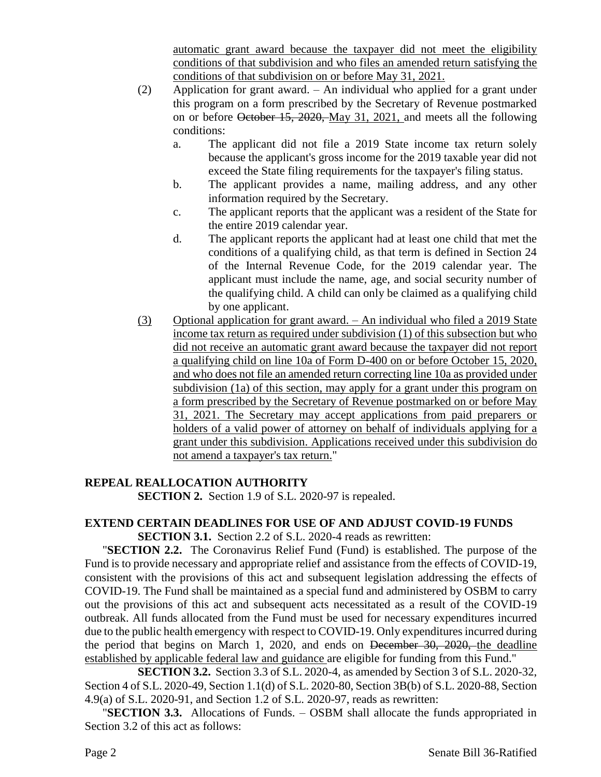automatic grant award because the taxpayer did not meet the eligibility conditions of that subdivision and who files an amended return satisfying the conditions of that subdivision on or before May 31, 2021.

- (2) Application for grant award. An individual who applied for a grant under this program on a form prescribed by the Secretary of Revenue postmarked on or before October 15, 2020, May 31, 2021, and meets all the following conditions:
	- a. The applicant did not file a 2019 State income tax return solely because the applicant's gross income for the 2019 taxable year did not exceed the State filing requirements for the taxpayer's filing status.
	- b. The applicant provides a name, mailing address, and any other information required by the Secretary.
	- c. The applicant reports that the applicant was a resident of the State for the entire 2019 calendar year.
	- d. The applicant reports the applicant had at least one child that met the conditions of a qualifying child, as that term is defined in Section 24 of the Internal Revenue Code, for the 2019 calendar year. The applicant must include the name, age, and social security number of the qualifying child. A child can only be claimed as a qualifying child by one applicant.
- (3) Optional application for grant award. An individual who filed a 2019 State income tax return as required under subdivision (1) of this subsection but who did not receive an automatic grant award because the taxpayer did not report a qualifying child on line 10a of Form D-400 on or before October 15, 2020, and who does not file an amended return correcting line 10a as provided under subdivision (1a) of this section, may apply for a grant under this program on a form prescribed by the Secretary of Revenue postmarked on or before May 31, 2021. The Secretary may accept applications from paid preparers or holders of a valid power of attorney on behalf of individuals applying for a grant under this subdivision. Applications received under this subdivision do not amend a taxpayer's tax return."

# **REPEAL REALLOCATION AUTHORITY**

**SECTION 2.** Section 1.9 of S.L. 2020-97 is repealed.

# **EXTEND CERTAIN DEADLINES FOR USE OF AND ADJUST COVID-19 FUNDS**

**SECTION 3.1.** Section 2.2 of S.L. 2020-4 reads as rewritten:

"**SECTION 2.2.** The Coronavirus Relief Fund (Fund) is established. The purpose of the Fund is to provide necessary and appropriate relief and assistance from the effects of COVID-19, consistent with the provisions of this act and subsequent legislation addressing the effects of COVID-19. The Fund shall be maintained as a special fund and administered by OSBM to carry out the provisions of this act and subsequent acts necessitated as a result of the COVID-19 outbreak. All funds allocated from the Fund must be used for necessary expenditures incurred due to the public health emergency with respect to COVID-19. Only expenditures incurred during the period that begins on March 1, 2020, and ends on December 30, 2020, the deadline established by applicable federal law and guidance are eligible for funding from this Fund."

**SECTION 3.2.** Section 3.3 of S.L. 2020-4, as amended by Section 3 of S.L. 2020-32, Section 4 of S.L. 2020-49, Section 1.1(d) of S.L. 2020-80, Section 3B(b) of S.L. 2020-88, Section 4.9(a) of S.L. 2020-91, and Section 1.2 of S.L. 2020-97, reads as rewritten:

"**SECTION 3.3.** Allocations of Funds. – OSBM shall allocate the funds appropriated in Section 3.2 of this act as follows: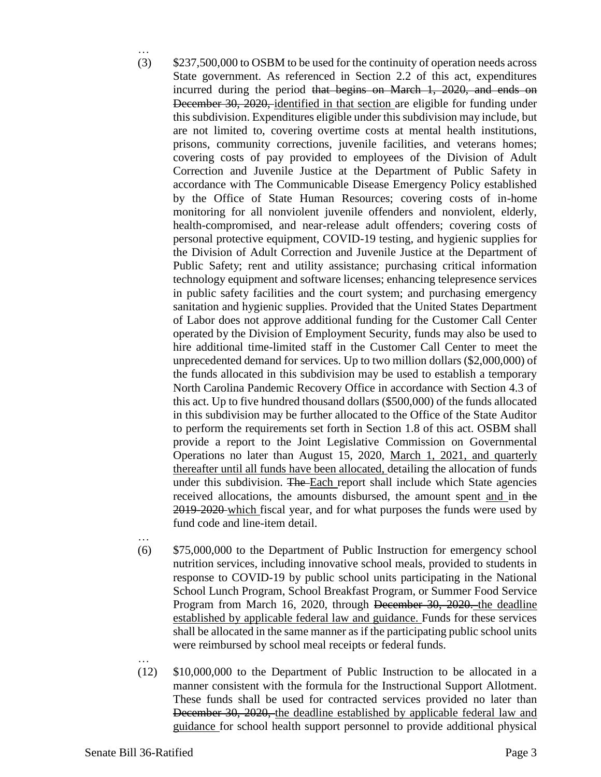- … (3) \$237,500,000 to OSBM to be used for the continuity of operation needs across State government. As referenced in Section 2.2 of this act, expenditures incurred during the period that begins on March 1, 2020, and ends on December 30, 2020, identified in that section are eligible for funding under this subdivision. Expenditures eligible under this subdivision may include, but are not limited to, covering overtime costs at mental health institutions, prisons, community corrections, juvenile facilities, and veterans homes; covering costs of pay provided to employees of the Division of Adult Correction and Juvenile Justice at the Department of Public Safety in accordance with The Communicable Disease Emergency Policy established by the Office of State Human Resources; covering costs of in-home monitoring for all nonviolent juvenile offenders and nonviolent, elderly, health-compromised, and near-release adult offenders; covering costs of personal protective equipment, COVID-19 testing, and hygienic supplies for the Division of Adult Correction and Juvenile Justice at the Department of Public Safety; rent and utility assistance; purchasing critical information technology equipment and software licenses; enhancing telepresence services in public safety facilities and the court system; and purchasing emergency sanitation and hygienic supplies. Provided that the United States Department of Labor does not approve additional funding for the Customer Call Center operated by the Division of Employment Security, funds may also be used to hire additional time-limited staff in the Customer Call Center to meet the unprecedented demand for services. Up to two million dollars (\$2,000,000) of the funds allocated in this subdivision may be used to establish a temporary North Carolina Pandemic Recovery Office in accordance with Section 4.3 of this act. Up to five hundred thousand dollars (\$500,000) of the funds allocated in this subdivision may be further allocated to the Office of the State Auditor to perform the requirements set forth in Section 1.8 of this act. OSBM shall provide a report to the Joint Legislative Commission on Governmental Operations no later than August 15, 2020, March 1, 2021, and quarterly thereafter until all funds have been allocated, detailing the allocation of funds under this subdivision. The Each report shall include which State agencies received allocations, the amounts disbursed, the amount spent and in the 2019-2020 which fiscal year, and for what purposes the funds were used by fund code and line-item detail.
- …

- (6) \$75,000,000 to the Department of Public Instruction for emergency school nutrition services, including innovative school meals, provided to students in response to COVID-19 by public school units participating in the National School Lunch Program, School Breakfast Program, or Summer Food Service Program from March 16, 2020, through December 30, 2020. the deadline established by applicable federal law and guidance. Funds for these services shall be allocated in the same manner as if the participating public school units were reimbursed by school meal receipts or federal funds.
- (12) \$10,000,000 to the Department of Public Instruction to be allocated in a manner consistent with the formula for the Instructional Support Allotment. These funds shall be used for contracted services provided no later than December 30, 2020, the deadline established by applicable federal law and guidance for school health support personnel to provide additional physical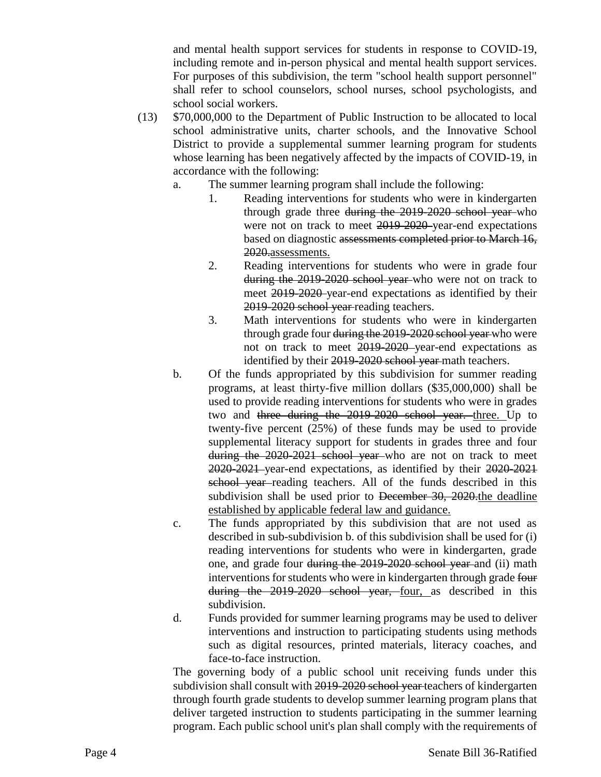and mental health support services for students in response to COVID-19, including remote and in-person physical and mental health support services. For purposes of this subdivision, the term "school health support personnel" shall refer to school counselors, school nurses, school psychologists, and school social workers.

- (13) \$70,000,000 to the Department of Public Instruction to be allocated to local school administrative units, charter schools, and the Innovative School District to provide a supplemental summer learning program for students whose learning has been negatively affected by the impacts of COVID-19, in accordance with the following:
	- a. The summer learning program shall include the following:
		- 1. Reading interventions for students who were in kindergarten through grade three during the 2019-2020 school year-who were not on track to meet 2019-2020-year-end expectations based on diagnostic assessments completed prior to March 16, 2020.assessments.
		- 2. Reading interventions for students who were in grade four during the 2019-2020 school year who were not on track to meet 2019-2020 year-end expectations as identified by their 2019-2020 school year reading teachers.
		- 3. Math interventions for students who were in kindergarten through grade four during the 2019-2020 school year who were not on track to meet 2019-2020 year-end expectations as identified by their 2019-2020 school year-math teachers.
	- b. Of the funds appropriated by this subdivision for summer reading programs, at least thirty-five million dollars (\$35,000,000) shall be used to provide reading interventions for students who were in grades two and three during the 2019-2020 school year. three. Up to twenty-five percent (25%) of these funds may be used to provide supplemental literacy support for students in grades three and four during the 2020-2021 school year who are not on track to meet 2020-2021 year-end expectations, as identified by their 2020-2021 school year-reading teachers. All of the funds described in this subdivision shall be used prior to December 30, 2020 the deadline established by applicable federal law and guidance.
	- c. The funds appropriated by this subdivision that are not used as described in sub-subdivision b. of this subdivision shall be used for (i) reading interventions for students who were in kindergarten, grade one, and grade four during the 2019-2020 school year and (ii) math interventions for students who were in kindergarten through grade four during the 2019-2020 school year, four, as described in this subdivision.
	- d. Funds provided for summer learning programs may be used to deliver interventions and instruction to participating students using methods such as digital resources, printed materials, literacy coaches, and face-to-face instruction.

The governing body of a public school unit receiving funds under this subdivision shall consult with 2019-2020 school year-teachers of kindergarten through fourth grade students to develop summer learning program plans that deliver targeted instruction to students participating in the summer learning program. Each public school unit's plan shall comply with the requirements of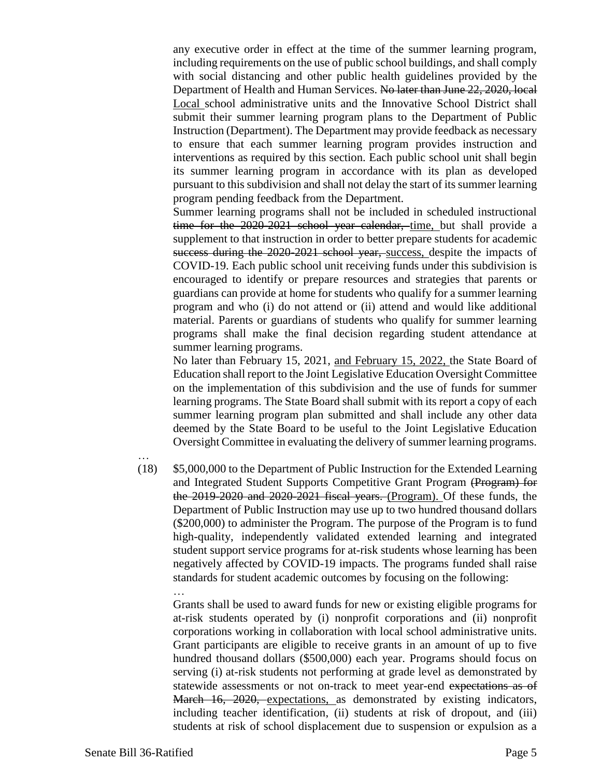any executive order in effect at the time of the summer learning program, including requirements on the use of public school buildings, and shall comply with social distancing and other public health guidelines provided by the Department of Health and Human Services. No later than June 22, 2020, local Local school administrative units and the Innovative School District shall submit their summer learning program plans to the Department of Public Instruction (Department). The Department may provide feedback as necessary to ensure that each summer learning program provides instruction and interventions as required by this section. Each public school unit shall begin its summer learning program in accordance with its plan as developed pursuant to this subdivision and shall not delay the start of its summer learning program pending feedback from the Department.

Summer learning programs shall not be included in scheduled instructional time for the 2020-2021 school year calendar, time, but shall provide a supplement to that instruction in order to better prepare students for academic success during the 2020-2021 school year, success, despite the impacts of COVID-19. Each public school unit receiving funds under this subdivision is encouraged to identify or prepare resources and strategies that parents or guardians can provide at home for students who qualify for a summer learning program and who (i) do not attend or (ii) attend and would like additional material. Parents or guardians of students who qualify for summer learning programs shall make the final decision regarding student attendance at summer learning programs.

No later than February 15, 2021, and February 15, 2022, the State Board of Education shall report to the Joint Legislative Education Oversight Committee on the implementation of this subdivision and the use of funds for summer learning programs. The State Board shall submit with its report a copy of each summer learning program plan submitted and shall include any other data deemed by the State Board to be useful to the Joint Legislative Education Oversight Committee in evaluating the delivery of summer learning programs.

- …
- (18) \$5,000,000 to the Department of Public Instruction for the Extended Learning and Integrated Student Supports Competitive Grant Program (Program) for the 2019-2020 and 2020-2021 fiscal years. (Program). Of these funds, the Department of Public Instruction may use up to two hundred thousand dollars (\$200,000) to administer the Program. The purpose of the Program is to fund high-quality, independently validated extended learning and integrated student support service programs for at-risk students whose learning has been negatively affected by COVID-19 impacts. The programs funded shall raise standards for student academic outcomes by focusing on the following: …

Grants shall be used to award funds for new or existing eligible programs for at-risk students operated by (i) nonprofit corporations and (ii) nonprofit corporations working in collaboration with local school administrative units. Grant participants are eligible to receive grants in an amount of up to five hundred thousand dollars (\$500,000) each year. Programs should focus on serving (i) at-risk students not performing at grade level as demonstrated by statewide assessments or not on-track to meet year-end expectations as of March 16, 2020, expectations, as demonstrated by existing indicators, including teacher identification, (ii) students at risk of dropout, and (iii) students at risk of school displacement due to suspension or expulsion as a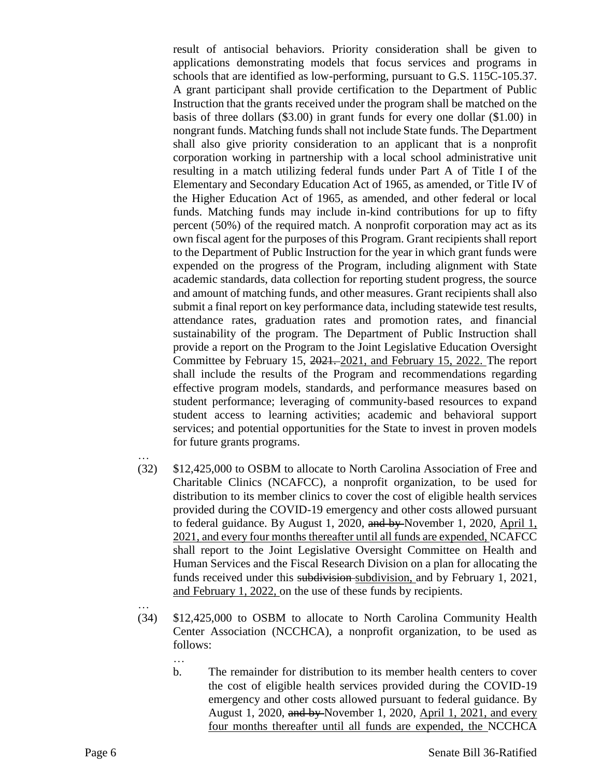result of antisocial behaviors. Priority consideration shall be given to applications demonstrating models that focus services and programs in schools that are identified as low-performing, pursuant to G.S. 115C-105.37. A grant participant shall provide certification to the Department of Public Instruction that the grants received under the program shall be matched on the basis of three dollars (\$3.00) in grant funds for every one dollar (\$1.00) in nongrant funds. Matching funds shall not include State funds. The Department shall also give priority consideration to an applicant that is a nonprofit corporation working in partnership with a local school administrative unit resulting in a match utilizing federal funds under Part A of Title I of the Elementary and Secondary Education Act of 1965, as amended, or Title IV of the Higher Education Act of 1965, as amended, and other federal or local funds. Matching funds may include in-kind contributions for up to fifty percent (50%) of the required match. A nonprofit corporation may act as its own fiscal agent for the purposes of this Program. Grant recipients shall report to the Department of Public Instruction for the year in which grant funds were expended on the progress of the Program, including alignment with State academic standards, data collection for reporting student progress, the source and amount of matching funds, and other measures. Grant recipients shall also submit a final report on key performance data, including statewide test results, attendance rates, graduation rates and promotion rates, and financial sustainability of the program. The Department of Public Instruction shall provide a report on the Program to the Joint Legislative Education Oversight Committee by February 15, 2021. 2021, and February 15, 2022. The report shall include the results of the Program and recommendations regarding effective program models, standards, and performance measures based on student performance; leveraging of community-based resources to expand student access to learning activities; academic and behavioral support services; and potential opportunities for the State to invest in proven models for future grants programs.

- …
- (32) \$12,425,000 to OSBM to allocate to North Carolina Association of Free and Charitable Clinics (NCAFCC), a nonprofit organization, to be used for distribution to its member clinics to cover the cost of eligible health services provided during the COVID-19 emergency and other costs allowed pursuant to federal guidance. By August 1, 2020, and by November 1, 2020, April 1, 2021, and every four months thereafter until all funds are expended, NCAFCC shall report to the Joint Legislative Oversight Committee on Health and Human Services and the Fiscal Research Division on a plan for allocating the funds received under this subdivision subdivision, and by February 1, 2021, and February 1, 2022, on the use of these funds by recipients.
- …

- (34) \$12,425,000 to OSBM to allocate to North Carolina Community Health Center Association (NCCHCA), a nonprofit organization, to be used as follows:
	- b. The remainder for distribution to its member health centers to cover the cost of eligible health services provided during the COVID-19 emergency and other costs allowed pursuant to federal guidance. By August 1, 2020, and by November 1, 2020, April 1, 2021, and every four months thereafter until all funds are expended, the NCCHCA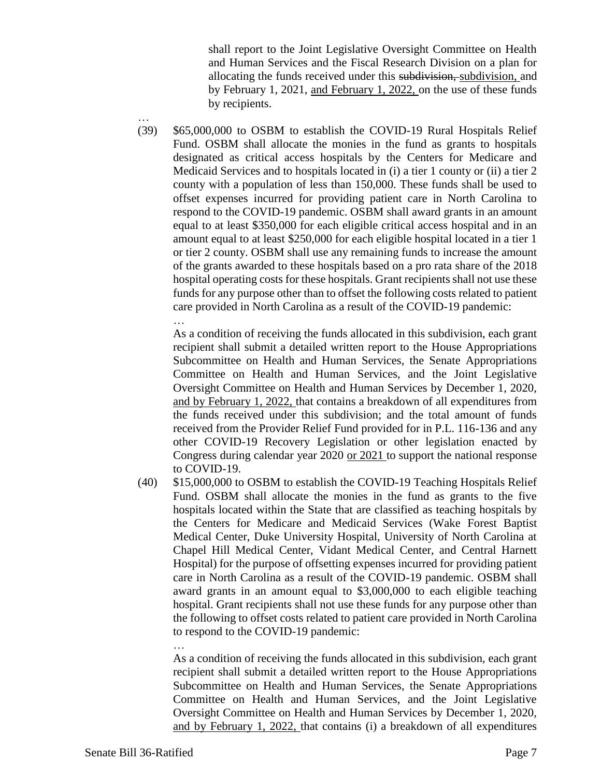shall report to the Joint Legislative Oversight Committee on Health and Human Services and the Fiscal Research Division on a plan for allocating the funds received under this subdivision, subdivision, and by February 1, 2021, and February 1, 2022, on the use of these funds by recipients.

… (39) \$65,000,000 to OSBM to establish the COVID-19 Rural Hospitals Relief Fund. OSBM shall allocate the monies in the fund as grants to hospitals designated as critical access hospitals by the Centers for Medicare and Medicaid Services and to hospitals located in (i) a tier 1 county or (ii) a tier 2 county with a population of less than 150,000. These funds shall be used to offset expenses incurred for providing patient care in North Carolina to respond to the COVID-19 pandemic. OSBM shall award grants in an amount equal to at least \$350,000 for each eligible critical access hospital and in an amount equal to at least \$250,000 for each eligible hospital located in a tier 1 or tier 2 county. OSBM shall use any remaining funds to increase the amount of the grants awarded to these hospitals based on a pro rata share of the 2018 hospital operating costs for these hospitals. Grant recipients shall not use these funds for any purpose other than to offset the following costs related to patient care provided in North Carolina as a result of the COVID-19 pandemic: …

As a condition of receiving the funds allocated in this subdivision, each grant recipient shall submit a detailed written report to the House Appropriations Subcommittee on Health and Human Services, the Senate Appropriations Committee on Health and Human Services, and the Joint Legislative Oversight Committee on Health and Human Services by December 1, 2020, and by February 1, 2022, that contains a breakdown of all expenditures from the funds received under this subdivision; and the total amount of funds received from the Provider Relief Fund provided for in P.L. 116-136 and any other COVID-19 Recovery Legislation or other legislation enacted by Congress during calendar year 2020 or 2021 to support the national response to COVID-19.

(40) \$15,000,000 to OSBM to establish the COVID-19 Teaching Hospitals Relief Fund. OSBM shall allocate the monies in the fund as grants to the five hospitals located within the State that are classified as teaching hospitals by the Centers for Medicare and Medicaid Services (Wake Forest Baptist Medical Center, Duke University Hospital, University of North Carolina at Chapel Hill Medical Center, Vidant Medical Center, and Central Harnett Hospital) for the purpose of offsetting expenses incurred for providing patient care in North Carolina as a result of the COVID-19 pandemic. OSBM shall award grants in an amount equal to \$3,000,000 to each eligible teaching hospital. Grant recipients shall not use these funds for any purpose other than the following to offset costs related to patient care provided in North Carolina to respond to the COVID-19 pandemic:

As a condition of receiving the funds allocated in this subdivision, each grant recipient shall submit a detailed written report to the House Appropriations Subcommittee on Health and Human Services, the Senate Appropriations Committee on Health and Human Services, and the Joint Legislative Oversight Committee on Health and Human Services by December 1, 2020, and by February 1, 2022, that contains (i) a breakdown of all expenditures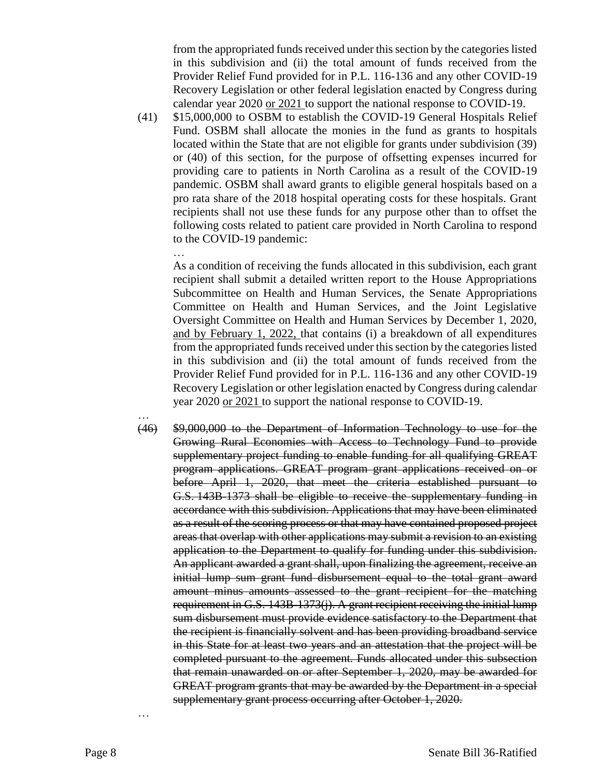from the appropriated funds received under this section by the categories listed in this subdivision and (ii) the total amount of funds received from the Provider Relief Fund provided for in P.L. 116-136 and any other COVID-19 Recovery Legislation or other federal legislation enacted by Congress during calendar year 2020 or 2021 to support the national response to COVID-19.

(41) \$15,000,000 to OSBM to establish the COVID-19 General Hospitals Relief Fund. OSBM shall allocate the monies in the fund as grants to hospitals located within the State that are not eligible for grants under subdivision (39) or (40) of this section, for the purpose of offsetting expenses incurred for providing care to patients in North Carolina as a result of the COVID-19 pandemic. OSBM shall award grants to eligible general hospitals based on a pro rata share of the 2018 hospital operating costs for these hospitals. Grant recipients shall not use these funds for any purpose other than to offset the following costs related to patient care provided in North Carolina to respond to the COVID-19 pandemic:

…

As a condition of receiving the funds allocated in this subdivision, each grant recipient shall submit a detailed written report to the House Appropriations Subcommittee on Health and Human Services, the Senate Appropriations Committee on Health and Human Services, and the Joint Legislative Oversight Committee on Health and Human Services by December 1, 2020, and by February 1, 2022, that contains (i) a breakdown of all expenditures from the appropriated funds received under this section by the categories listed in this subdivision and (ii) the total amount of funds received from the Provider Relief Fund provided for in P.L. 116-136 and any other COVID-19 Recovery Legislation or other legislation enacted by Congress during calendar year 2020 or 2021 to support the national response to COVID-19.

… (46) \$9,000,000 to the Department of Information Technology to use for the Growing Rural Economies with Access to Technology Fund to provide supplementary project funding to enable funding for all qualifying GREAT program applications. GREAT program grant applications received on or before April 1, 2020, that meet the criteria established pursuant to G.S. 143B-1373 shall be eligible to receive the supplementary funding in accordance with this subdivision. Applications that may have been eliminated as a result of the scoring process or that may have contained proposed project areas that overlap with other applications may submit a revision to an existing application to the Department to qualify for funding under this subdivision. An applicant awarded a grant shall, upon finalizing the agreement, receive an initial lump sum grant fund disbursement equal to the total grant award amount minus amounts assessed to the grant recipient for the matching requirement in G.S. 143B-1373(j). A grant recipient receiving the initial lump sum disbursement must provide evidence satisfactory to the Department that the recipient is financially solvent and has been providing broadband service in this State for at least two years and an attestation that the project will be completed pursuant to the agreement. Funds allocated under this subsection that remain unawarded on or after September 1, 2020, may be awarded for GREAT program grants that may be awarded by the Department in a special supplementary grant process occurring after October 1, 2020.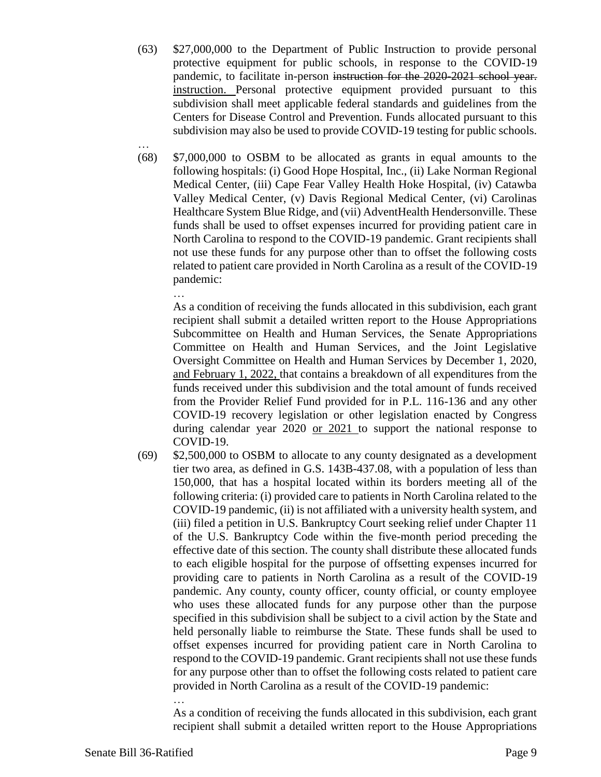- (63) \$27,000,000 to the Department of Public Instruction to provide personal protective equipment for public schools, in response to the COVID-19 pandemic, to facilitate in-person instruction for the 2020-2021 school year. instruction. Personal protective equipment provided pursuant to this subdivision shall meet applicable federal standards and guidelines from the Centers for Disease Control and Prevention. Funds allocated pursuant to this subdivision may also be used to provide COVID-19 testing for public schools.
- (68) \$7,000,000 to OSBM to be allocated as grants in equal amounts to the following hospitals: (i) Good Hope Hospital, Inc., (ii) Lake Norman Regional Medical Center, (iii) Cape Fear Valley Health Hoke Hospital, (iv) Catawba Valley Medical Center, (v) Davis Regional Medical Center, (vi) Carolinas Healthcare System Blue Ridge, and (vii) AdventHealth Hendersonville. These funds shall be used to offset expenses incurred for providing patient care in North Carolina to respond to the COVID-19 pandemic. Grant recipients shall not use these funds for any purpose other than to offset the following costs related to patient care provided in North Carolina as a result of the COVID-19 pandemic:

… As a condition of receiving the funds allocated in this subdivision, each grant recipient shall submit a detailed written report to the House Appropriations Subcommittee on Health and Human Services, the Senate Appropriations Committee on Health and Human Services, and the Joint Legislative Oversight Committee on Health and Human Services by December 1, 2020, and February 1, 2022, that contains a breakdown of all expenditures from the funds received under this subdivision and the total amount of funds received from the Provider Relief Fund provided for in P.L. 116-136 and any other COVID-19 recovery legislation or other legislation enacted by Congress during calendar year 2020 or 2021 to support the national response to COVID-19.

(69) \$2,500,000 to OSBM to allocate to any county designated as a development tier two area, as defined in G.S. 143B-437.08, with a population of less than 150,000, that has a hospital located within its borders meeting all of the following criteria: (i) provided care to patients in North Carolina related to the COVID-19 pandemic, (ii) is not affiliated with a university health system, and (iii) filed a petition in U.S. Bankruptcy Court seeking relief under Chapter 11 of the U.S. Bankruptcy Code within the five-month period preceding the effective date of this section. The county shall distribute these allocated funds to each eligible hospital for the purpose of offsetting expenses incurred for providing care to patients in North Carolina as a result of the COVID-19 pandemic. Any county, county officer, county official, or county employee who uses these allocated funds for any purpose other than the purpose specified in this subdivision shall be subject to a civil action by the State and held personally liable to reimburse the State. These funds shall be used to offset expenses incurred for providing patient care in North Carolina to respond to the COVID-19 pandemic. Grant recipients shall not use these funds for any purpose other than to offset the following costs related to patient care provided in North Carolina as a result of the COVID-19 pandemic:

… As a condition of receiving the funds allocated in this subdivision, each grant recipient shall submit a detailed written report to the House Appropriations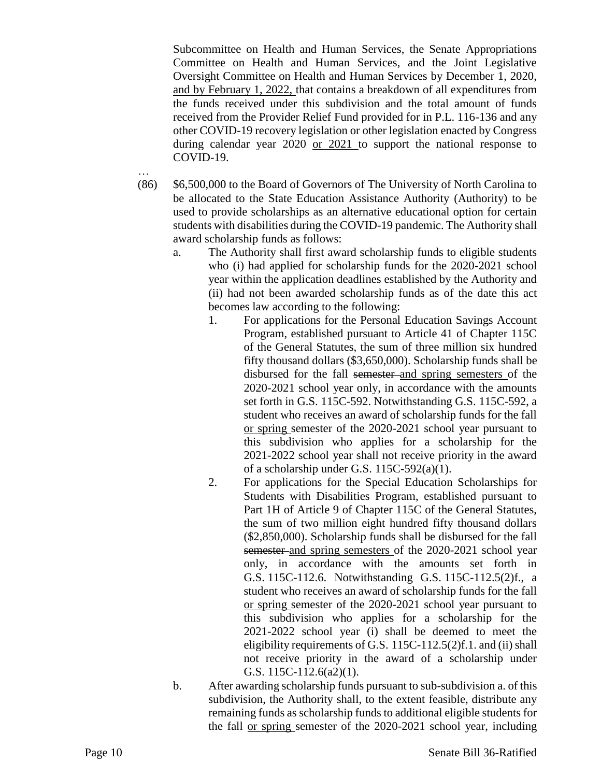Subcommittee on Health and Human Services, the Senate Appropriations Committee on Health and Human Services, and the Joint Legislative Oversight Committee on Health and Human Services by December 1, 2020, and by February 1, 2022, that contains a breakdown of all expenditures from the funds received under this subdivision and the total amount of funds received from the Provider Relief Fund provided for in P.L. 116-136 and any other COVID-19 recovery legislation or other legislation enacted by Congress during calendar year 2020 or 2021 to support the national response to COVID-19.

- (86) \$6,500,000 to the Board of Governors of The University of North Carolina to be allocated to the State Education Assistance Authority (Authority) to be used to provide scholarships as an alternative educational option for certain students with disabilities during the COVID-19 pandemic. The Authority shall award scholarship funds as follows:
	- a. The Authority shall first award scholarship funds to eligible students who (i) had applied for scholarship funds for the 2020-2021 school year within the application deadlines established by the Authority and (ii) had not been awarded scholarship funds as of the date this act becomes law according to the following:
		- 1. For applications for the Personal Education Savings Account Program, established pursuant to Article 41 of Chapter 115C of the General Statutes, the sum of three million six hundred fifty thousand dollars (\$3,650,000). Scholarship funds shall be disbursed for the fall semester and spring semesters of the 2020-2021 school year only, in accordance with the amounts set forth in G.S. 115C-592. Notwithstanding G.S. 115C-592, a student who receives an award of scholarship funds for the fall or spring semester of the 2020-2021 school year pursuant to this subdivision who applies for a scholarship for the 2021-2022 school year shall not receive priority in the award of a scholarship under G.S. 115C-592(a)(1).
		- 2. For applications for the Special Education Scholarships for Students with Disabilities Program, established pursuant to Part 1H of Article 9 of Chapter 115C of the General Statutes, the sum of two million eight hundred fifty thousand dollars (\$2,850,000). Scholarship funds shall be disbursed for the fall semester and spring semesters of the 2020-2021 school year only, in accordance with the amounts set forth in G.S. 115C-112.6. Notwithstanding G.S. 115C-112.5(2)f., a student who receives an award of scholarship funds for the fall or spring semester of the 2020-2021 school year pursuant to this subdivision who applies for a scholarship for the 2021-2022 school year (i) shall be deemed to meet the eligibility requirements of G.S. 115C-112.5(2)f.1. and (ii) shall not receive priority in the award of a scholarship under G.S. 115C-112.6(a2)(1).
	- b. After awarding scholarship funds pursuant to sub-subdivision a. of this subdivision, the Authority shall, to the extent feasible, distribute any remaining funds as scholarship funds to additional eligible students for the fall or spring semester of the 2020-2021 school year, including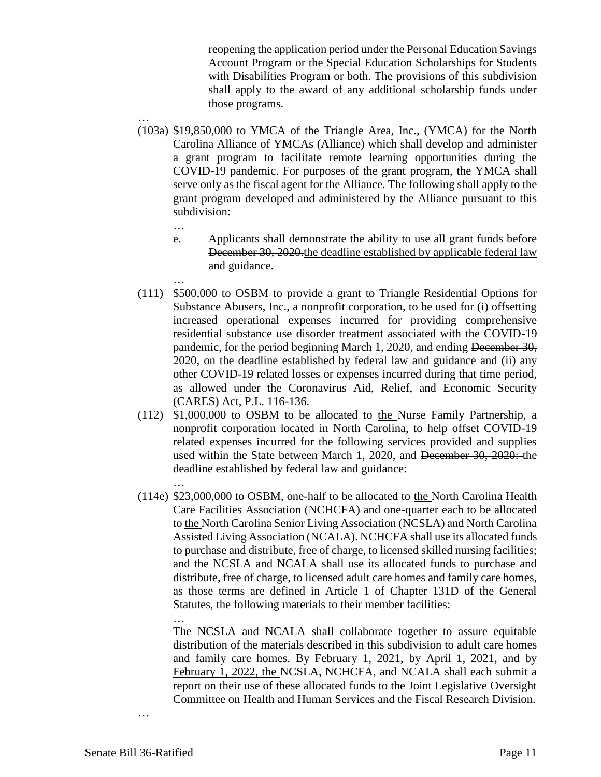reopening the application period under the Personal Education Savings Account Program or the Special Education Scholarships for Students with Disabilities Program or both. The provisions of this subdivision shall apply to the award of any additional scholarship funds under those programs.

- (103a) \$19,850,000 to YMCA of the Triangle Area, Inc., (YMCA) for the North Carolina Alliance of YMCAs (Alliance) which shall develop and administer a grant program to facilitate remote learning opportunities during the COVID-19 pandemic. For purposes of the grant program, the YMCA shall serve only as the fiscal agent for the Alliance. The following shall apply to the grant program developed and administered by the Alliance pursuant to this subdivision:
	- …

…

…

- e. Applicants shall demonstrate the ability to use all grant funds before December 30, 2020 the deadline established by applicable federal law and guidance.
- … (111) \$500,000 to OSBM to provide a grant to Triangle Residential Options for Substance Abusers, Inc., a nonprofit corporation, to be used for (i) offsetting increased operational expenses incurred for providing comprehensive residential substance use disorder treatment associated with the COVID-19 pandemic, for the period beginning March 1, 2020, and ending December 30, 2020, on the deadline established by federal law and guidance and (ii) any other COVID-19 related losses or expenses incurred during that time period, as allowed under the Coronavirus Aid, Relief, and Economic Security (CARES) Act, P.L. 116-136.
- (112) \$1,000,000 to OSBM to be allocated to the Nurse Family Partnership, a nonprofit corporation located in North Carolina, to help offset COVID-19 related expenses incurred for the following services provided and supplies used within the State between March 1, 2020, and <del>December 30, 2020:</del> the deadline established by federal law and guidance:
- (114e) \$23,000,000 to OSBM, one-half to be allocated to the North Carolina Health Care Facilities Association (NCHCFA) and one-quarter each to be allocated to the North Carolina Senior Living Association (NCSLA) and North Carolina Assisted Living Association (NCALA). NCHCFA shall use its allocated funds to purchase and distribute, free of charge, to licensed skilled nursing facilities; and the NCSLA and NCALA shall use its allocated funds to purchase and distribute, free of charge, to licensed adult care homes and family care homes, as those terms are defined in Article 1 of Chapter 131D of the General Statutes, the following materials to their member facilities:

… The NCSLA and NCALA shall collaborate together to assure equitable distribution of the materials described in this subdivision to adult care homes and family care homes. By February 1, 2021, by April 1, 2021, and by February 1, 2022, the NCSLA, NCHCFA, and NCALA shall each submit a report on their use of these allocated funds to the Joint Legislative Oversight Committee on Health and Human Services and the Fiscal Research Division.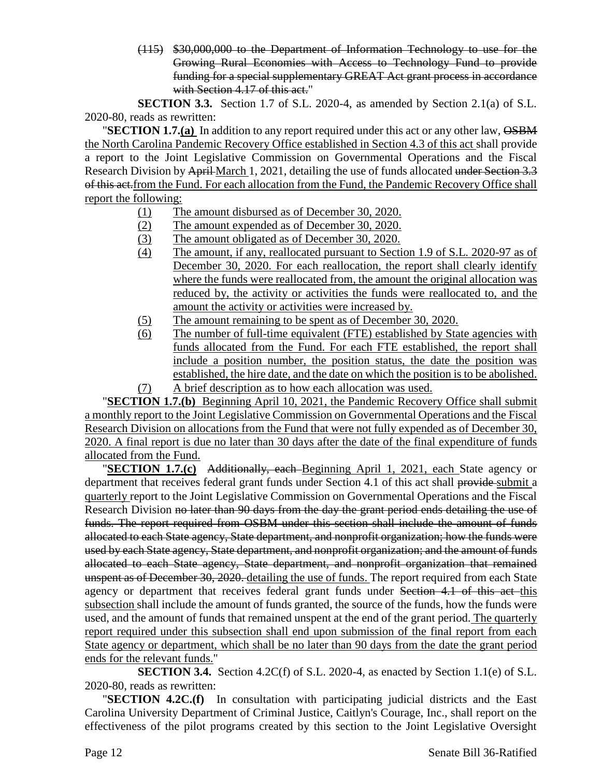(115) \$30,000,000 to the Department of Information Technology to use for the Growing Rural Economies with Access to Technology Fund to provide funding for a special supplementary GREAT Act grant process in accordance with Section 4.17 of this act."

**SECTION 3.3.** Section 1.7 of S.L. 2020-4, as amended by Section 2.1(a) of S.L. 2020-80, reads as rewritten:

**"SECTION 1.7.(a)** In addition to any report required under this act or any other law,  $\overrightarrow{OSBM}$ the North Carolina Pandemic Recovery Office established in Section 4.3 of this act shall provide a report to the Joint Legislative Commission on Governmental Operations and the Fiscal Research Division by April March 1, 2021, detailing the use of funds allocated under Section 3.3 of this act.from the Fund. For each allocation from the Fund, the Pandemic Recovery Office shall report the following:

- (1) The amount disbursed as of December 30, 2020.
- (2) The amount expended as of December 30, 2020.
- (3) The amount obligated as of December 30, 2020.
- (4) The amount, if any, reallocated pursuant to Section 1.9 of S.L. 2020-97 as of December 30, 2020. For each reallocation, the report shall clearly identify where the funds were reallocated from, the amount the original allocation was reduced by, the activity or activities the funds were reallocated to, and the amount the activity or activities were increased by.
- (5) The amount remaining to be spent as of December 30, 2020.
- (6) The number of full-time equivalent (FTE) established by State agencies with funds allocated from the Fund. For each FTE established, the report shall include a position number, the position status, the date the position was established, the hire date, and the date on which the position is to be abolished. (7) A brief description as to how each allocation was used.

"**SECTION 1.7.(b)** Beginning April 10, 2021, the Pandemic Recovery Office shall submit a monthly report to the Joint Legislative Commission on Governmental Operations and the Fiscal Research Division on allocations from the Fund that were not fully expended as of December 30, 2020. A final report is due no later than 30 days after the date of the final expenditure of funds allocated from the Fund.

"**SECTION 1.7.(c)** Additionally, each Beginning April 1, 2021, each State agency or department that receives federal grant funds under Section 4.1 of this act shall provide submit a quarterly report to the Joint Legislative Commission on Governmental Operations and the Fiscal Research Division no later than 90 days from the day the grant period ends detailing the use of funds. The report required from OSBM under this section shall include the amount of funds allocated to each State agency, State department, and nonprofit organization; how the funds were used by each State agency, State department, and nonprofit organization; and the amount of funds allocated to each State agency, State department, and nonprofit organization that remained unspent as of December 30, 2020. detailing the use of funds. The report required from each State agency or department that receives federal grant funds under Section 4.1 of this act this subsection shall include the amount of funds granted, the source of the funds, how the funds were used, and the amount of funds that remained unspent at the end of the grant period. The quarterly report required under this subsection shall end upon submission of the final report from each State agency or department, which shall be no later than 90 days from the date the grant period ends for the relevant funds."

**SECTION 3.4.** Section 4.2C(f) of S.L. 2020-4, as enacted by Section 1.1(e) of S.L. 2020-80, reads as rewritten:

"**SECTION 4.2C.(f)** In consultation with participating judicial districts and the East Carolina University Department of Criminal Justice, Caitlyn's Courage, Inc., shall report on the effectiveness of the pilot programs created by this section to the Joint Legislative Oversight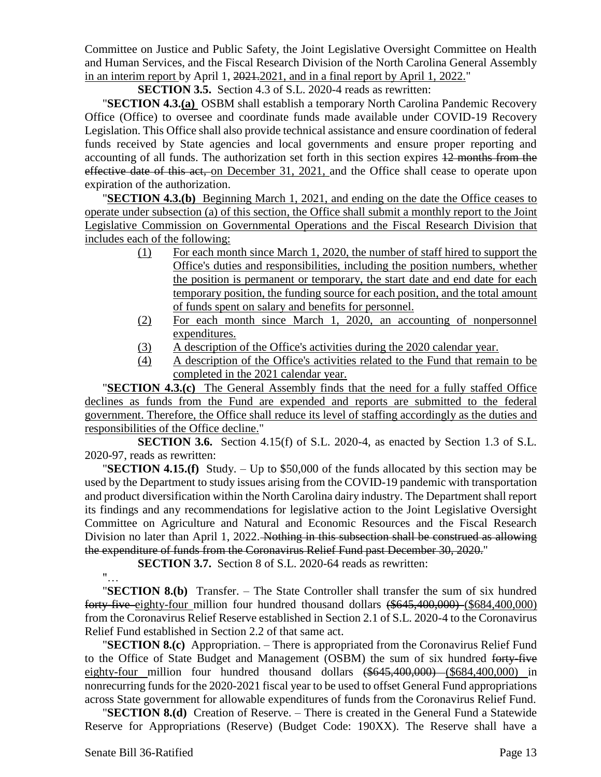Committee on Justice and Public Safety, the Joint Legislative Oversight Committee on Health and Human Services, and the Fiscal Research Division of the North Carolina General Assembly in an interim report by April 1, 2021.2021, and in a final report by April 1, 2022."

**SECTION 3.5.** Section 4.3 of S.L. 2020-4 reads as rewritten:

"**SECTION 4.3.(a)** OSBM shall establish a temporary North Carolina Pandemic Recovery Office (Office) to oversee and coordinate funds made available under COVID-19 Recovery Legislation. This Office shall also provide technical assistance and ensure coordination of federal funds received by State agencies and local governments and ensure proper reporting and accounting of all funds. The authorization set forth in this section expires 12 months from the effective date of this act, on December 31, 2021, and the Office shall cease to operate upon expiration of the authorization.

"**SECTION 4.3.(b)** Beginning March 1, 2021, and ending on the date the Office ceases to operate under subsection (a) of this section, the Office shall submit a monthly report to the Joint Legislative Commission on Governmental Operations and the Fiscal Research Division that includes each of the following:

- (1) For each month since March 1, 2020, the number of staff hired to support the Office's duties and responsibilities, including the position numbers, whether the position is permanent or temporary, the start date and end date for each temporary position, the funding source for each position, and the total amount of funds spent on salary and benefits for personnel.
- (2) For each month since March 1, 2020, an accounting of nonpersonnel expenditures.
- (3) A description of the Office's activities during the 2020 calendar year.
- (4) A description of the Office's activities related to the Fund that remain to be completed in the 2021 calendar year.

"**SECTION 4.3.(c)** The General Assembly finds that the need for a fully staffed Office declines as funds from the Fund are expended and reports are submitted to the federal government. Therefore, the Office shall reduce its level of staffing accordingly as the duties and responsibilities of the Office decline."

**SECTION 3.6.** Section 4.15(f) of S.L. 2020-4, as enacted by Section 1.3 of S.L. 2020-97, reads as rewritten:

"**SECTION 4.15.(f)** Study. – Up to \$50,000 of the funds allocated by this section may be used by the Department to study issues arising from the COVID-19 pandemic with transportation and product diversification within the North Carolina dairy industry. The Department shall report its findings and any recommendations for legislative action to the Joint Legislative Oversight Committee on Agriculture and Natural and Economic Resources and the Fiscal Research Division no later than April 1, 2022. Nothing in this subsection shall be construed as allowing the expenditure of funds from the Coronavirus Relief Fund past December 30, 2020."

**SECTION 3.7.** Section 8 of S.L. 2020-64 reads as rewritten:

"…

"**SECTION 8.(b)** Transfer. – The State Controller shall transfer the sum of six hundred forty-five eighty-four million four hundred thousand dollars (\$645,400,000) (\$684,400,000) from the Coronavirus Relief Reserve established in Section 2.1 of S.L. 2020-4 to the Coronavirus Relief Fund established in Section 2.2 of that same act.

"**SECTION 8.(c)** Appropriation. – There is appropriated from the Coronavirus Relief Fund to the Office of State Budget and Management (OSBM) the sum of six hundred forty-five eighty-four million four hundred thousand dollars (\$645,400,000) (\$684,400,000) in nonrecurring funds for the 2020-2021 fiscal year to be used to offset General Fund appropriations across State government for allowable expenditures of funds from the Coronavirus Relief Fund.

"**SECTION 8.(d)** Creation of Reserve. – There is created in the General Fund a Statewide Reserve for Appropriations (Reserve) (Budget Code: 190XX). The Reserve shall have a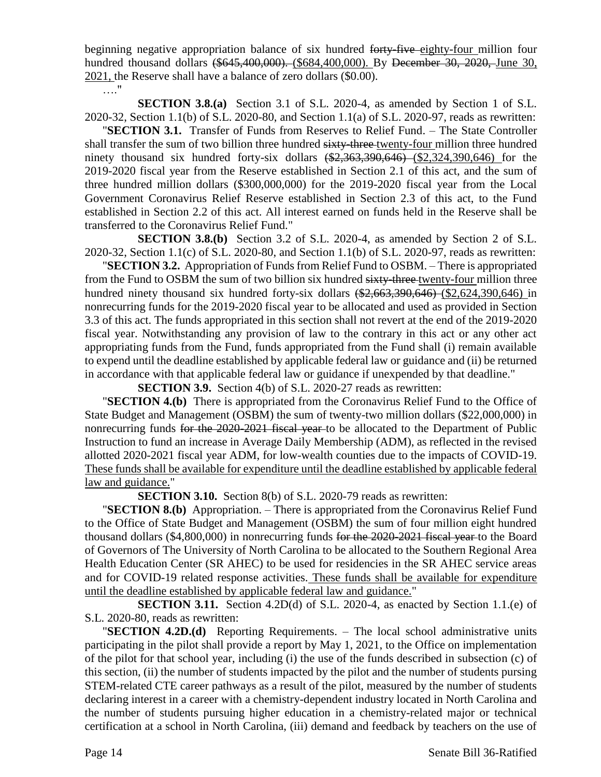beginning negative appropriation balance of six hundred forty-five eighty-four million four hundred thousand dollars (\$645,400,000). (\$684,400,000). By December 30, 2020, June 30, 2021, the Reserve shall have a balance of zero dollars (\$0.00).

…."

**SECTION 3.8.(a)** Section 3.1 of S.L. 2020-4, as amended by Section 1 of S.L. 2020-32, Section 1.1(b) of S.L. 2020-80, and Section 1.1(a) of S.L. 2020-97, reads as rewritten:

"**SECTION 3.1.** Transfer of Funds from Reserves to Relief Fund. – The State Controller shall transfer the sum of two billion three hundred sixty-three-twenty-four million three hundred ninety thousand six hundred forty-six dollars  $(*2,363,390,646)$   $(*2,324,390,646)$  for the 2019-2020 fiscal year from the Reserve established in Section 2.1 of this act, and the sum of three hundred million dollars (\$300,000,000) for the 2019-2020 fiscal year from the Local Government Coronavirus Relief Reserve established in Section 2.3 of this act, to the Fund established in Section 2.2 of this act. All interest earned on funds held in the Reserve shall be transferred to the Coronavirus Relief Fund."

**SECTION 3.8.(b)** Section 3.2 of S.L. 2020-4, as amended by Section 2 of S.L. 2020-32, Section 1.1(c) of S.L. 2020-80, and Section 1.1(b) of S.L. 2020-97, reads as rewritten:

"**SECTION 3.2.** Appropriation of Funds from Relief Fund to OSBM. – There is appropriated from the Fund to OSBM the sum of two billion six hundred sixty-three twenty-four million three hundred ninety thousand six hundred forty-six dollars (\$2,663,390,646) (\$2,624,390,646) in nonrecurring funds for the 2019-2020 fiscal year to be allocated and used as provided in Section 3.3 of this act. The funds appropriated in this section shall not revert at the end of the 2019-2020 fiscal year. Notwithstanding any provision of law to the contrary in this act or any other act appropriating funds from the Fund, funds appropriated from the Fund shall (i) remain available to expend until the deadline established by applicable federal law or guidance and (ii) be returned in accordance with that applicable federal law or guidance if unexpended by that deadline."

**SECTION 3.9.** Section 4(b) of S.L. 2020-27 reads as rewritten:

"**SECTION 4.(b)** There is appropriated from the Coronavirus Relief Fund to the Office of State Budget and Management (OSBM) the sum of twenty-two million dollars (\$22,000,000) in nonrecurring funds for the 2020-2021 fiscal year to be allocated to the Department of Public Instruction to fund an increase in Average Daily Membership (ADM), as reflected in the revised allotted 2020-2021 fiscal year ADM, for low-wealth counties due to the impacts of COVID-19. These funds shall be available for expenditure until the deadline established by applicable federal law and guidance."

**SECTION 3.10.** Section 8(b) of S.L. 2020-79 reads as rewritten:

"**SECTION 8.(b)** Appropriation. – There is appropriated from the Coronavirus Relief Fund to the Office of State Budget and Management (OSBM) the sum of four million eight hundred thousand dollars (\$4,800,000) in nonrecurring funds for the 2020-2021 fiscal year to the Board of Governors of The University of North Carolina to be allocated to the Southern Regional Area Health Education Center (SR AHEC) to be used for residencies in the SR AHEC service areas and for COVID-19 related response activities. These funds shall be available for expenditure until the deadline established by applicable federal law and guidance."

**SECTION 3.11.** Section 4.2D(d) of S.L. 2020-4, as enacted by Section 1.1.(e) of S.L. 2020-80, reads as rewritten:

"**SECTION 4.2D.(d)** Reporting Requirements. – The local school administrative units participating in the pilot shall provide a report by May 1, 2021, to the Office on implementation of the pilot for that school year, including (i) the use of the funds described in subsection (c) of this section, (ii) the number of students impacted by the pilot and the number of students pursing STEM-related CTE career pathways as a result of the pilot, measured by the number of students declaring interest in a career with a chemistry-dependent industry located in North Carolina and the number of students pursuing higher education in a chemistry-related major or technical certification at a school in North Carolina, (iii) demand and feedback by teachers on the use of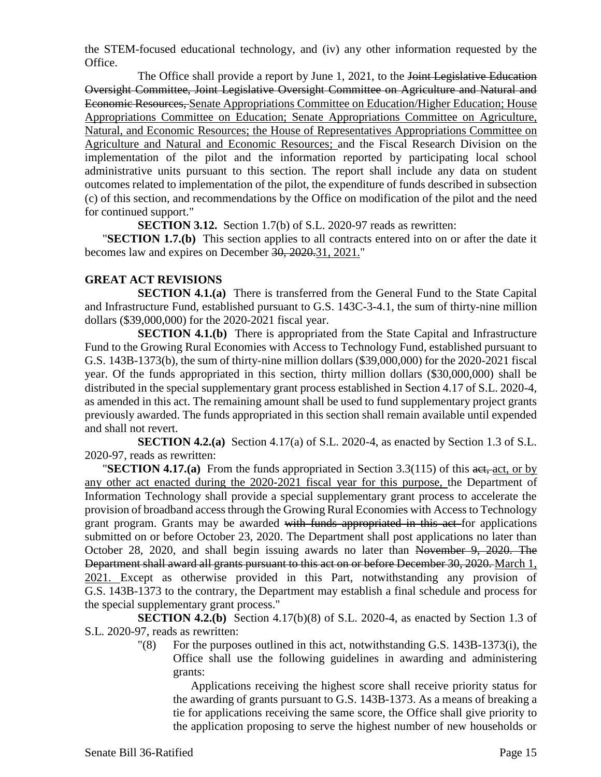the STEM-focused educational technology, and (iv) any other information requested by the Office.

The Office shall provide a report by June 1, 2021, to the <del>Joint Legislative Education</del> Oversight Committee, Joint Legislative Oversight Committee on Agriculture and Natural and Economic Resources, Senate Appropriations Committee on Education/Higher Education; House Appropriations Committee on Education; Senate Appropriations Committee on Agriculture, Natural, and Economic Resources; the House of Representatives Appropriations Committee on Agriculture and Natural and Economic Resources; and the Fiscal Research Division on the implementation of the pilot and the information reported by participating local school administrative units pursuant to this section. The report shall include any data on student outcomes related to implementation of the pilot, the expenditure of funds described in subsection (c) of this section, and recommendations by the Office on modification of the pilot and the need for continued support."

**SECTION 3.12.** Section 1.7(b) of S.L. 2020-97 reads as rewritten:

"**SECTION 1.7.(b)** This section applies to all contracts entered into on or after the date it becomes law and expires on December 30, 2020.31, 2021."

#### **GREAT ACT REVISIONS**

**SECTION 4.1.(a)** There is transferred from the General Fund to the State Capital and Infrastructure Fund, established pursuant to G.S. 143C-3-4.1, the sum of thirty-nine million dollars (\$39,000,000) for the 2020-2021 fiscal year.

**SECTION 4.1.(b)** There is appropriated from the State Capital and Infrastructure Fund to the Growing Rural Economies with Access to Technology Fund, established pursuant to G.S. 143B-1373(b), the sum of thirty-nine million dollars (\$39,000,000) for the 2020-2021 fiscal year. Of the funds appropriated in this section, thirty million dollars (\$30,000,000) shall be distributed in the special supplementary grant process established in Section 4.17 of S.L. 2020-4, as amended in this act. The remaining amount shall be used to fund supplementary project grants previously awarded. The funds appropriated in this section shall remain available until expended and shall not revert.

**SECTION 4.2.(a)** Section 4.17(a) of S.L. 2020-4, as enacted by Section 1.3 of S.L. 2020-97, reads as rewritten:

"**SECTION 4.17.(a)** From the funds appropriated in Section 3.3(115) of this act, act, or by any other act enacted during the 2020-2021 fiscal year for this purpose, the Department of Information Technology shall provide a special supplementary grant process to accelerate the provision of broadband access through the Growing Rural Economies with Access to Technology grant program. Grants may be awarded with funds appropriated in this act for applications submitted on or before October 23, 2020. The Department shall post applications no later than October 28, 2020, and shall begin issuing awards no later than November 9, 2020. The Department shall award all grants pursuant to this act on or before December 30, 2020. March 1, 2021. Except as otherwise provided in this Part, notwithstanding any provision of G.S. 143B-1373 to the contrary, the Department may establish a final schedule and process for the special supplementary grant process."

**SECTION 4.2.(b)** Section 4.17(b)(8) of S.L. 2020-4, as enacted by Section 1.3 of S.L. 2020-97, reads as rewritten:

> $\degree$  (8) For the purposes outlined in this act, notwithstanding G.S. 143B-1373(i), the Office shall use the following guidelines in awarding and administering grants:

Applications receiving the highest score shall receive priority status for the awarding of grants pursuant to G.S. 143B-1373. As a means of breaking a tie for applications receiving the same score, the Office shall give priority to the application proposing to serve the highest number of new households or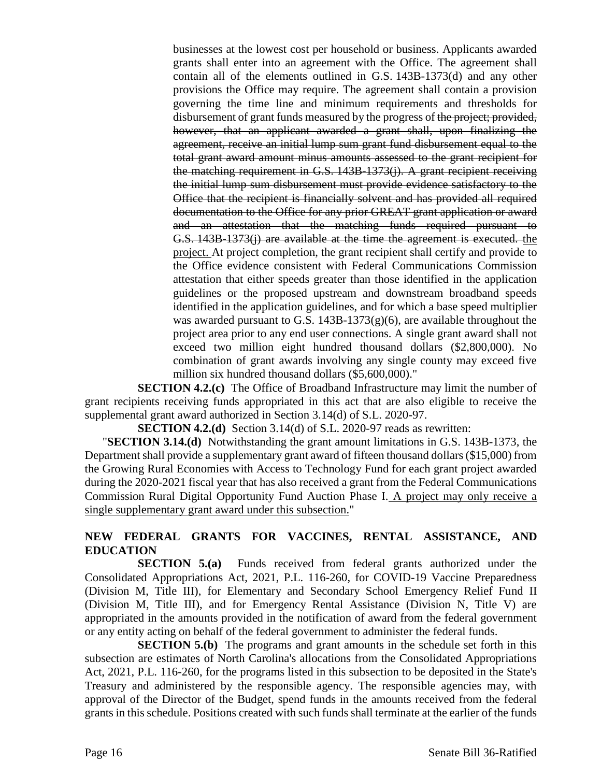businesses at the lowest cost per household or business. Applicants awarded grants shall enter into an agreement with the Office. The agreement shall contain all of the elements outlined in G.S. 143B-1373(d) and any other provisions the Office may require. The agreement shall contain a provision governing the time line and minimum requirements and thresholds for disbursement of grant funds measured by the progress of the project; provided, however, that an applicant awarded a grant shall, upon finalizing the agreement, receive an initial lump sum grant fund disbursement equal to the total grant award amount minus amounts assessed to the grant recipient for the matching requirement in G.S. 143B-1373(j). A grant recipient receiving the initial lump sum disbursement must provide evidence satisfactory to the Office that the recipient is financially solvent and has provided all required documentation to the Office for any prior GREAT grant application or award and an attestation that the matching funds required pursuant to G.S. 143B-1373(j) are available at the time the agreement is executed. the project. At project completion, the grant recipient shall certify and provide to the Office evidence consistent with Federal Communications Commission attestation that either speeds greater than those identified in the application guidelines or the proposed upstream and downstream broadband speeds identified in the application guidelines, and for which a base speed multiplier was awarded pursuant to G.S.  $143B-1373(g)(6)$ , are available throughout the project area prior to any end user connections. A single grant award shall not exceed two million eight hundred thousand dollars (\$2,800,000). No combination of grant awards involving any single county may exceed five million six hundred thousand dollars (\$5,600,000)."

**SECTION 4.2.(c)** The Office of Broadband Infrastructure may limit the number of grant recipients receiving funds appropriated in this act that are also eligible to receive the supplemental grant award authorized in Section 3.14(d) of S.L. 2020-97.

**SECTION 4.2.(d)** Section 3.14(d) of S.L. 2020-97 reads as rewritten:

"**SECTION 3.14.(d)** Notwithstanding the grant amount limitations in G.S. 143B-1373, the Department shall provide a supplementary grant award of fifteen thousand dollars (\$15,000) from the Growing Rural Economies with Access to Technology Fund for each grant project awarded during the 2020-2021 fiscal year that has also received a grant from the Federal Communications Commission Rural Digital Opportunity Fund Auction Phase I. A project may only receive a single supplementary grant award under this subsection."

# **NEW FEDERAL GRANTS FOR VACCINES, RENTAL ASSISTANCE, AND EDUCATION**

**SECTION 5.(a)** Funds received from federal grants authorized under the Consolidated Appropriations Act, 2021, P.L. 116-260, for COVID-19 Vaccine Preparedness (Division M, Title III), for Elementary and Secondary School Emergency Relief Fund II (Division M, Title III), and for Emergency Rental Assistance (Division N, Title V) are appropriated in the amounts provided in the notification of award from the federal government or any entity acting on behalf of the federal government to administer the federal funds.

**SECTION 5.(b)** The programs and grant amounts in the schedule set forth in this subsection are estimates of North Carolina's allocations from the Consolidated Appropriations Act, 2021, P.L. 116-260, for the programs listed in this subsection to be deposited in the State's Treasury and administered by the responsible agency. The responsible agencies may, with approval of the Director of the Budget, spend funds in the amounts received from the federal grants in this schedule. Positions created with such funds shall terminate at the earlier of the funds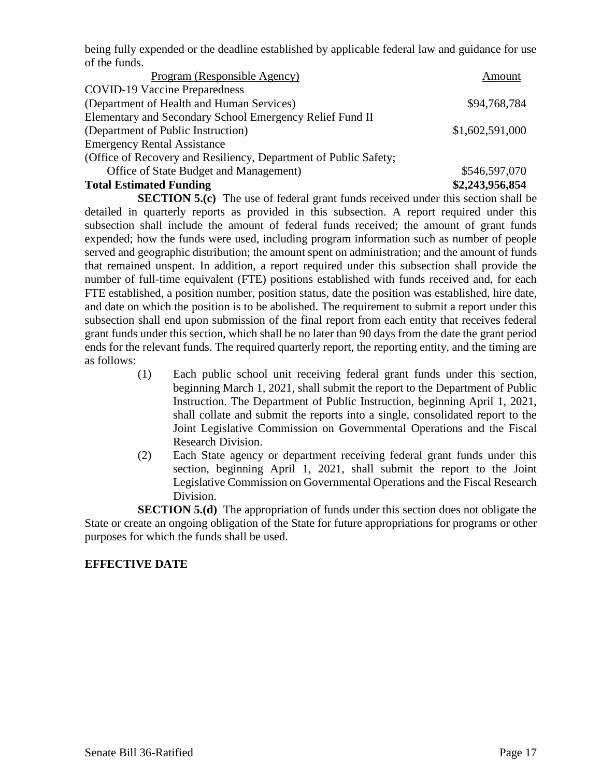being fully expended or the deadline established by applicable federal law and guidance for use of the funds.

| Program (Responsible Agency)                                     | Amount          |
|------------------------------------------------------------------|-----------------|
| <b>COVID-19 Vaccine Preparedness</b>                             |                 |
| (Department of Health and Human Services)                        | \$94,768,784    |
| Elementary and Secondary School Emergency Relief Fund II         |                 |
| (Department of Public Instruction)                               | \$1,602,591,000 |
| <b>Emergency Rental Assistance</b>                               |                 |
| (Office of Recovery and Resiliency, Department of Public Safety; |                 |
| Office of State Budget and Management)                           | \$546,597,070   |
| <b>Total Estimated Funding</b>                                   | \$2,243,956,854 |

**SECTION 5.(c)** The use of federal grant funds received under this section shall be detailed in quarterly reports as provided in this subsection. A report required under this subsection shall include the amount of federal funds received; the amount of grant funds expended; how the funds were used, including program information such as number of people served and geographic distribution; the amount spent on administration; and the amount of funds that remained unspent. In addition, a report required under this subsection shall provide the number of full-time equivalent (FTE) positions established with funds received and, for each FTE established, a position number, position status, date the position was established, hire date, and date on which the position is to be abolished. The requirement to submit a report under this subsection shall end upon submission of the final report from each entity that receives federal grant funds under this section, which shall be no later than 90 days from the date the grant period ends for the relevant funds. The required quarterly report, the reporting entity, and the timing are as follows:

- (1) Each public school unit receiving federal grant funds under this section, beginning March 1, 2021, shall submit the report to the Department of Public Instruction. The Department of Public Instruction, beginning April 1, 2021, shall collate and submit the reports into a single, consolidated report to the Joint Legislative Commission on Governmental Operations and the Fiscal Research Division.
- (2) Each State agency or department receiving federal grant funds under this section, beginning April 1, 2021, shall submit the report to the Joint Legislative Commission on Governmental Operations and the Fiscal Research Division.

**SECTION 5.(d)** The appropriation of funds under this section does not obligate the State or create an ongoing obligation of the State for future appropriations for programs or other purposes for which the funds shall be used.

# **EFFECTIVE DATE**